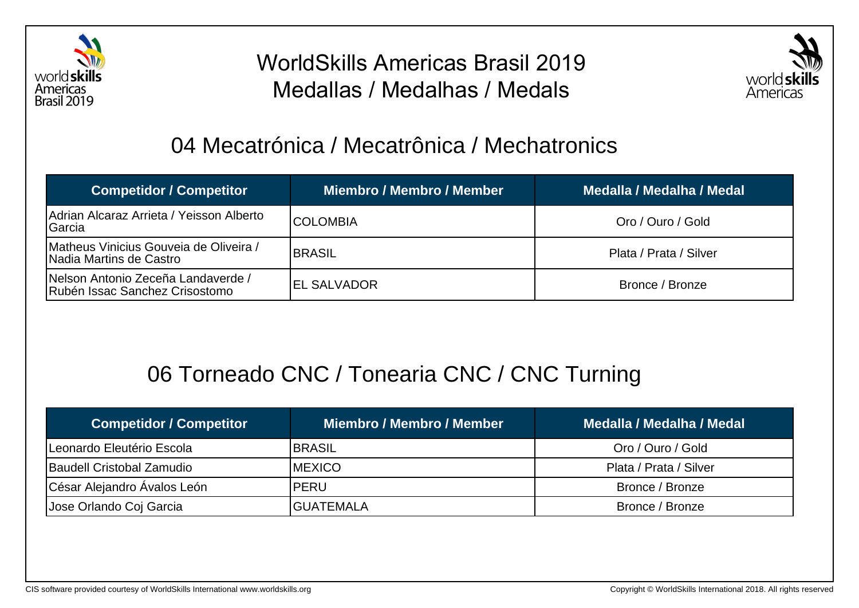

# WorldSkills Americas Brasil 2019 Medallas / Medalhas / Medals



#### 04 Mecatrónica / Mecatrônica / Mechatronics

| <b>Competidor / Competitor</b>                                       | Miembro / Membro / Member | Medalla / Medalha / Medal |
|----------------------------------------------------------------------|---------------------------|---------------------------|
| Adrian Alcaraz Arrieta / Yeisson Alberto<br>Garcia                   | ICOLOMBIA                 | Oro / Ouro / Gold         |
| Matheus Vinicius Gouveia de Oliveira /<br>Nadia Martins de Castro    | <b>BRASIL</b>             | Plata / Prata / Silver    |
| Nelson Antonio Zeceña Landaverde /<br>Rubén Issac Sanchez Crisostomo | IEL SALVADOR              | Bronce / Bronze           |

# 06 Torneado CNC / Tonearia CNC / CNC Turning

| <b>Competidor / Competitor</b> | <b>Miembro / Membro / Member</b> | Medalla / Medalha / Medal |
|--------------------------------|----------------------------------|---------------------------|
| Leonardo Eleutério Escola      | <b>BRASIL</b>                    | Oro / Ouro / Gold         |
| Baudell Cristobal Zamudio      | <b>IMEXICO</b>                   | Plata / Prata / Silver    |
| César Alejandro Ávalos León    | <b>PERU</b>                      | Bronce / Bronze           |
| Jose Orlando Coj Garcia        | <b>GUATEMALA</b>                 | Bronce / Bronze           |